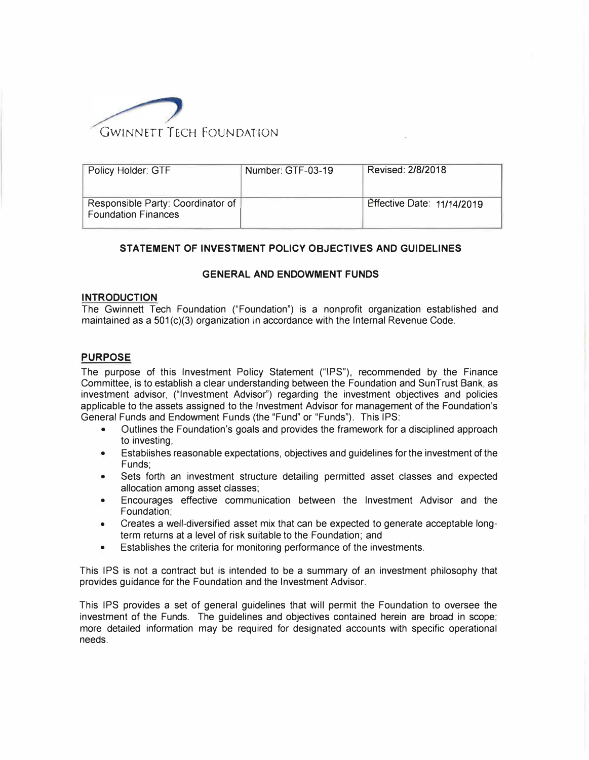

| Policy Holder: GTF                                              | Number: GTF-03-19 | Revised: 2/8/2018                 |
|-----------------------------------------------------------------|-------------------|-----------------------------------|
| Responsible Party: Coordinator of<br><b>Foundation Finances</b> |                   | <b>Effective Date: 11/14/2019</b> |

## **STATEMENT OF INVESTMENT POLICY OBJECTIVES AND GUIDELINES**

### **GENERAL AND ENDOWMENT FUNDS**

### **INTRODUCTION**

The Gwinnett Tech Foundation ("Foundation") is a nonprofit organization established and maintained as a  $501(c)(3)$  organization in accordance with the Internal Revenue Code.

# **PURPOSE**

The purpose of this Investment Policy Statement ("IPS"), recommended by the Finance Committee, is to establish a clear understanding between the Foundation and SunTrust Bank, as investment advisor, ("Investment Advisor") regarding the investment objectives and policies applicable to the assets assigned to the Investment Advisor for management of the Foundation's General Funds and Endowment Funds (the "Fund" or "Funds"). This IPS:

- Outlines the Foundation's goals and provides the framework for a disciplined approach to investing;
- Establishes reasonable expectations, objectives and guidelines for the investment of the Funds;
- Sets forth an investment structure detailing permitted asset classes and expected allocation among asset classes;
- Encourages effective communication between the Investment Advisor and the Foundation;
- Creates a well-diversified asset mix that can be expected to generate acceptable longterm returns at a level of risk suitable to the Foundation; and
- Establishes the criteria for monitoring performance of the investments.

This IPS is not a contract but is intended to be a summary of an investment philosophy that provides guidance for the Foundation and the Investment Advisor.

This IPS provides a set of general guidelines that will permit the Foundation to oversee the investment of the Funds. The guidelines and objectives contained herein are broad in scope; more detailed information may be required for designated accounts with specific operational needs.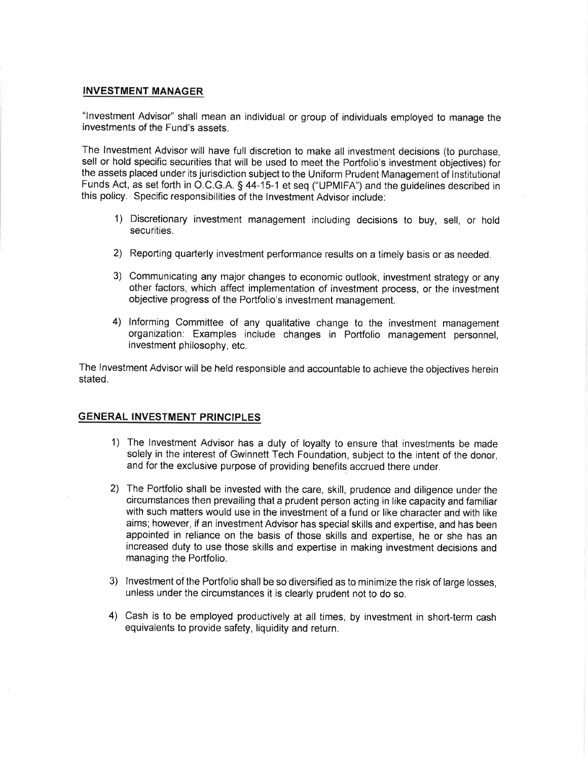### **INVESTMENT MANAGER**

"Investment Advisor" shall mean an individual or group of individuals employed to manage the investments of the Fund's assets.

The Investment Advisor will have full discretion to make all investment decisions (to purchase, sell or hold specific securities that will be used to meet the Portfolio's investment objectives) for the assets placed under its jurisdiction subject to the Uniform Prudent Management of Institutional Funds Act, as set forth in O.C.G.A. § 44-15-1 et seq ("UPMIFA") and the guidelines described in this policy. Specific responsibilities of the Investment Advisor include:

- 1) Discretionary investment management including decisions to buy, sell, or hold securities.
- 2) Reporting quarterly investment performance results on a timely basis or as needed.
- 3) Communicating any major changes to economic outlook, investment strategy or any other factors, which affect implementation of investment process, or the investment objective progress of the Portfolio's investment management.
- 4) Informing Committee of any qualitative change to the investment management organization: Examples include changes in Portfolio management personnel, investment philosophy, etc.

The Investment Advisor will be held responsible and accountable to achieve the objectives herein stated.

### **GENERAL INVESTMENT PRINCIPLES**

- 1) The Investment Advisor has a duty of loyalty to ensure that investments be made solely in the interest of Gwinnett Tech Foundation, subject to the intent of the donor, and for the exclusive purpose of providing benefits accrued there under.
- 2) The Portfolio shall be invested with the care, skill, prudence and diligence under the circumstances then prevailing that a prudent person acting in like capacity and familiar with such matters would use in the investment of a fund or like character and with like aims; however, if an investment Advisor has special skills and expertise, and has been appointed in reliance on the basis of those skills and expertise, he or she has an increased duty to use those skills and expertise in making investment decisions and managing the Portfolio.
- 3) Investment of the Portfolio shall be so diversified as to minimize the risk of large losses, unless under the circumstances it is clearly prudent not to do so.
- 4) Cash is to be employed productively at all times, by investment in short-term cash equivalents to provide safety, liquidity and return.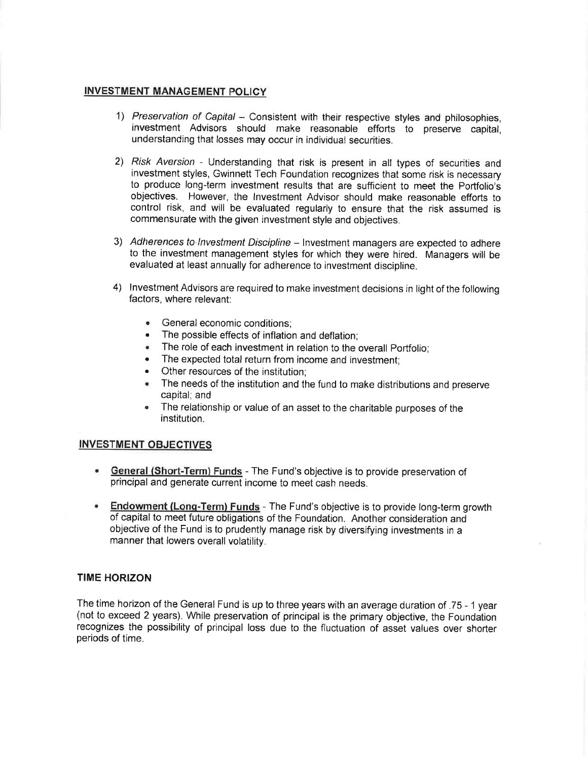# **INVESTMENT MANAGEMENT POLICY**

- 1) Preservation of Capital Consistent with their respective styles and philosophies. investment Advisors should make reasonable efforts to preserve capital. understanding that losses may occur in individual securities.
- 2) Risk Aversion Understanding that risk is present in all types of securities and investment styles, Gwinnett Tech Foundation recognizes that some risk is necessary to produce long-term investment results that are sufficient to meet the Portfolio's objectives. However, the Investment Advisor should make reasonable efforts to control risk, and will be evaluated regularly to ensure that the risk assumed is commensurate with the given investment style and objectives.
- 3) Adherences to Investment Discipline Investment managers are expected to adhere to the investment management styles for which they were hired. Managers will be evaluated at least annually for adherence to investment discipline.
- 4) Investment Advisors are required to make investment decisions in light of the following factors, where relevant:
	- General economic conditions:
	- The possible effects of inflation and deflation;
	- The role of each investment in relation to the overall Portfolio;
	- The expected total return from income and investment;
	- Other resources of the institution:
	- The needs of the institution and the fund to make distributions and preserve capital: and
	- The relationship or value of an asset to the charitable purposes of the  $\bullet$ institution.

### **INVESTMENT OBJECTIVES**

- General (Short-Term) Funds The Fund's objective is to provide preservation of principal and generate current income to meet cash needs.
- $\bullet$ Endowment (Long-Term) Funds - The Fund's objective is to provide long-term growth of capital to meet future obligations of the Foundation. Another consideration and objective of the Fund is to prudently manage risk by diversifying investments in a manner that lowers overall volatility.

### **TIME HORIZON**

The time horizon of the General Fund is up to three years with an average duration of .75 - 1 year (not to exceed 2 years). While preservation of principal is the primary objective, the Foundation recognizes the possibility of principal loss due to the fluctuation of asset values over shorter periods of time.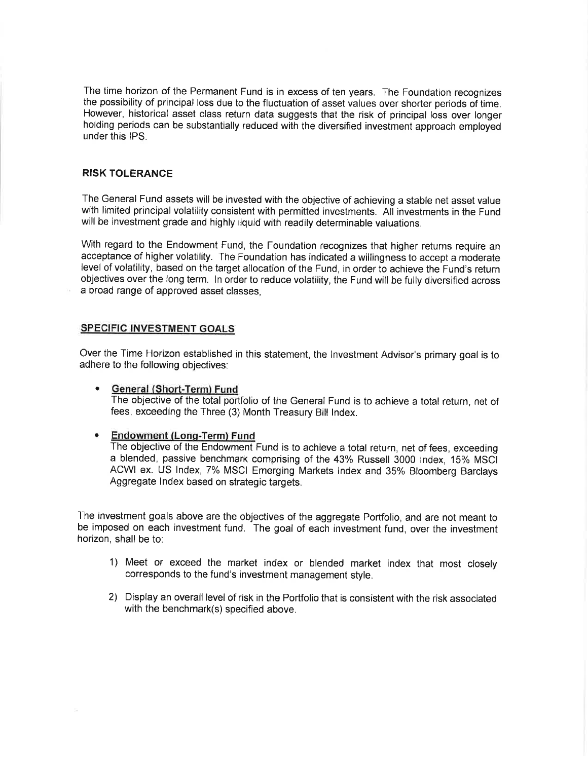The time horizon of the Permanent Fund is in excess of ten years. The Foundation recognizes the possibility of principal loss due to the fluctuation of asset values over shorter periods of time. However, historical asset class return data suggests that the risk of principal loss over longer holding periods can be substantially reduced with the diversified investment approach employed under this IPS.

# **RISK TOLERANCE**

The General Fund assets will be invested with the objective of achieving a stable net asset value with limited principal volatility consistent with permitted investments. All investments in the Fund will be investment grade and highly liquid with readily determinable valuations.

With regard to the Endowment Fund, the Foundation recognizes that higher returns require an acceptance of higher volatility. The Foundation has indicated a willingness to accept a moderate level of volatility, based on the target allocation of the Fund, in order to achieve the Fund's return objectives over the long term. In order to reduce volatility, the Fund will be fully diversified across a broad range of approved asset classes.

## **SPECIFIC INVESTMENT GOALS**

Over the Time Horizon established in this statement, the Investment Advisor's primary goal is to adhere to the following objectives:

### General (Short-Term) Fund

The objective of the total portfolio of the General Fund is to achieve a total return, net of fees, exceeding the Three (3) Month Treasury Bill Index.

#### Endowment (Long-Term) Fund  $\bullet$

The objective of the Endowment Fund is to achieve a total return, net of fees, exceeding a blended, passive benchmark comprising of the 43% Russell 3000 Index, 15% MSCI ACWI ex. US Index, 7% MSCI Emerging Markets Index and 35% Bloomberg Barclays Aggregate Index based on strategic targets.

The investment goals above are the objectives of the aggregate Portfolio, and are not meant to be imposed on each investment fund. The goal of each investment fund, over the investment horizon, shall be to:

- 1) Meet or exceed the market index or blended market index that most closely corresponds to the fund's investment management style.
- 2) Display an overall level of risk in the Portfolio that is consistent with the risk associated with the benchmark(s) specified above.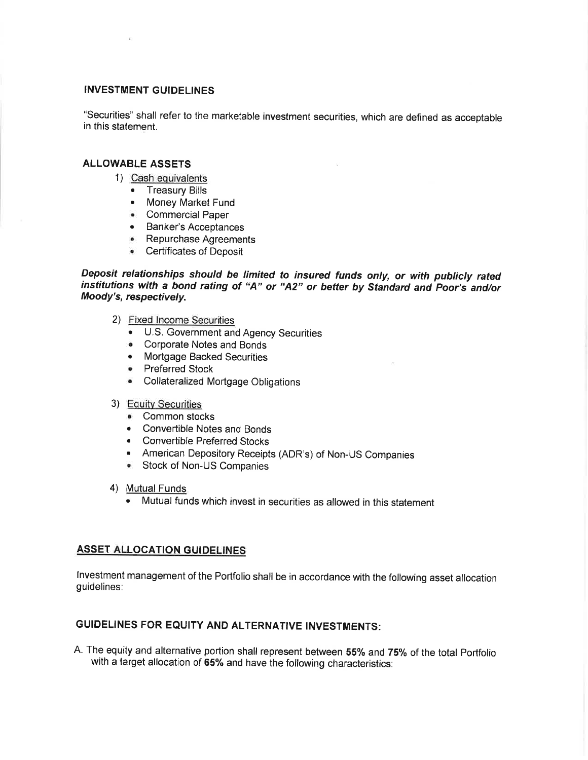# **INVESTMENT GUIDELINES**

"Securities" shall refer to the marketable investment securities, which are defined as acceptable in this statement.

## **ALLOWABLE ASSETS**

- 1) Cash equivalents
	- Treasury Bills
	- Money Market Fund
	- Commercial Paper
	- Banker's Acceptances
	- Repurchase Agreements
	- Certificates of Deposit

Deposit relationships should be limited to insured funds only, or with publicly rated institutions with a bond rating of "A" or "A2" or better by Standard and Poor's and/or Moody's, respectively.

- 2) Fixed Income Securities
	- U.S. Government and Agency Securities
	- Corporate Notes and Bonds
	- Mortgage Backed Securities
	- Preferred Stock
	- Collateralized Mortgage Obligations
- 3) Equity Securities
	- Common stocks
	- Convertible Notes and Bonds
	- Convertible Preferred Stocks
	- American Depository Receipts (ADR's) of Non-US Companies
	- Stock of Non-US Companies
- 4) Mutual Funds
	- Mutual funds which invest in securities as allowed in this statement

# **ASSET ALLOCATION GUIDELINES**

Investment management of the Portfolio shall be in accordance with the following asset allocation guidelines:

# GUIDELINES FOR EQUITY AND ALTERNATIVE INVESTMENTS:

A. The equity and alternative portion shall represent between 55% and 75% of the total Portfolio with a target allocation of 65% and have the following characteristics: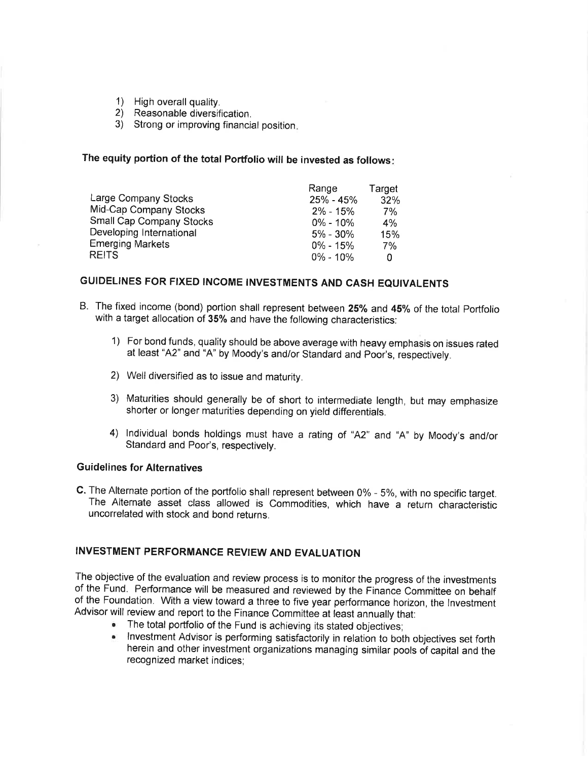- 1) High overall quality.
- 2) Reasonable diversification.
- 3) Strong or improving financial position.

# The equity portion of the total Portfolio will be invested as follows:

|                          | Range        | Target |
|--------------------------|--------------|--------|
| Large Company Stocks     | $25% - 45%$  | 32%    |
| Mid-Cap Company Stocks   | $2\% - 15\%$ | 7%     |
| Small Cap Company Stocks | $0\% - 10\%$ | 4%     |
| Developing International | $5\% - 30\%$ | 15%    |
| <b>Emerging Markets</b>  | $0\% - 15\%$ | 7%     |
| <b>REITS</b>             | $0\% - 10\%$ | n      |

# GUIDELINES FOR FIXED INCOME INVESTMENTS AND CASH EQUIVALENTS

- B. The fixed income (bond) portion shall represent between 25% and 45% of the total Portfolio with a target allocation of 35% and have the following characteristics:
	- 1) For bond funds, quality should be above average with heavy emphasis on issues rated at least "A2" and "A" by Moody's and/or Standard and Poor's, respectively.
	- 2) Well diversified as to issue and maturity.
	- 3) Maturities should generally be of short to intermediate length, but may emphasize shorter or longer maturities depending on yield differentials.
	- 4) Individual bonds holdings must have a rating of "A2" and "A" by Moody's and/or Standard and Poor's, respectively.

## **Guidelines for Alternatives**

C. The Alternate portion of the portfolio shall represent between 0% - 5%, with no specific target. The Alternate asset class allowed is Commodities, which have a return characteristic uncorrelated with stock and bond returns.

# INVESTMENT PERFORMANCE REVIEW AND EVALUATION

The objective of the evaluation and review process is to monitor the progress of the investments of the Fund. Performance will be measured and reviewed by the Finance Committee on behalf of the Foundation. With a view toward a three to five year performance horizon, the Investment Advisor will review and report to the Finance Committee at least annually that:

- The total portfolio of the Fund is achieving its stated objectives;
- . Investment Advisor is performing satisfactorily in relation to both objectives set forth herein and other investment organizations managing similar pools of capital and the recognized market indices;